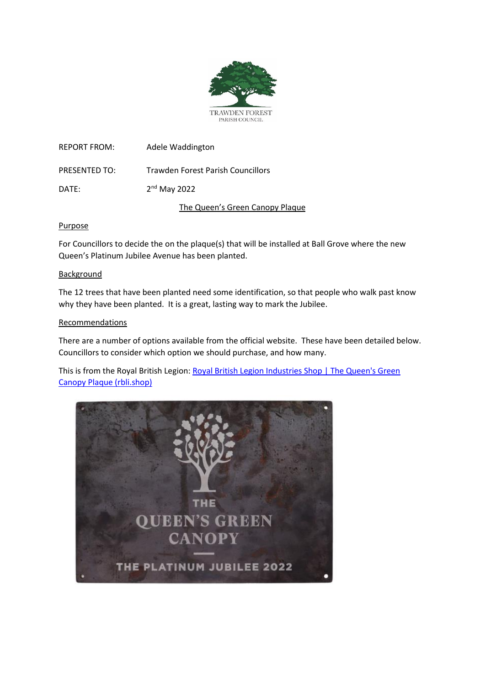

REPORT FROM: Adele Waddington PRESENTED TO: Trawden Forest Parish Councillors DATE: 2<sup>nd</sup> May 2022

The Queen's Green Canopy Plaque

## Purpose

For Councillors to decide the on the plaque(s) that will be installed at Ball Grove where the new Queen's Platinum Jubilee Avenue has been planted.

## Background

The 12 trees that have been planted need some identification, so that people who walk past know why they have been planted. It is a great, lasting way to mark the Jubilee.

# Recommendations

There are a number of options available from the official website. These have been detailed below. Councillors to consider which option we should purchase, and how many.

This is from the Royal British Legion: [Royal British Legion Industries Shop | The Queen's Green](https://rbli.shop/products/queens-green-canopy-plaque?variant=39822574977078)  [Canopy Plaque \(rbli.shop\)](https://rbli.shop/products/queens-green-canopy-plaque?variant=39822574977078)

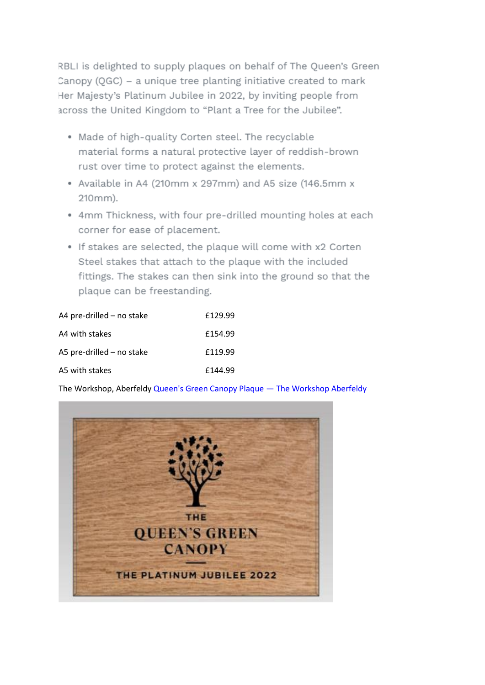RBLI is delighted to supply plaques on behalf of The Queen's Green Canopy (QGC) - a unique tree planting initiative created to mark Her Majesty's Platinum Jubilee in 2022, by inviting people from across the United Kingdom to "Plant a Tree for the Jubilee".

- . Made of high-quality Corten steel. The recyclable material forms a natural protective layer of reddish-brown rust over time to protect against the elements.
- · Available in A4 (210mm x 297mm) and A5 size (146.5mm x 210mm).
- . 4mm Thickness, with four pre-drilled mounting holes at each corner for ease of placement.
- . If stakes are selected, the plaque will come with x2 Corten Steel stakes that attach to the plaque with the included fittings. The stakes can then sink into the ground so that the plaque can be freestanding.

| A4 pre-drilled - no stake   | £129.99 |
|-----------------------------|---------|
| A4 with stakes              | £154.99 |
| A5 pre-drilled $-$ no stake | £119.99 |
| A5 with stakes              | £144.99 |

The Workshop, Aberfeldy Queen's Green Canopy Plaque - The Workshop Aberfeldy

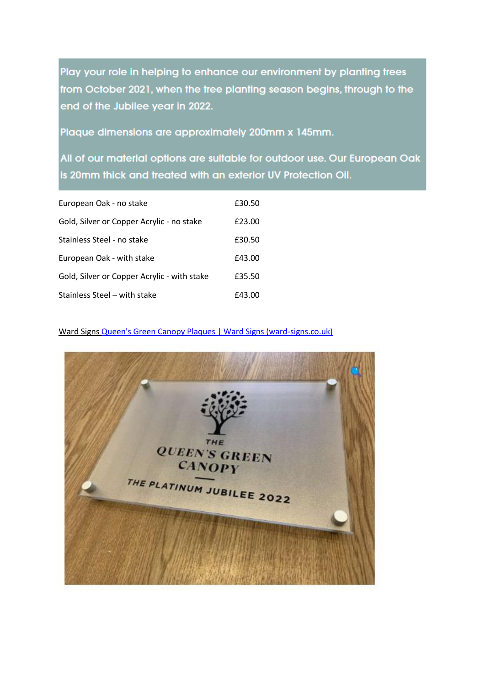Play your role in helping to enhance our environment by planting trees from October 2021, when the tree planting season begins, through to the end of the Jubilee year in 2022.

Plaque dimensions are approximately 200mm x 145mm.

All of our material options are suitable for outdoor use. Our European Oak is 20mm thick and treated with an exterior UV Protection Oil.

| European Oak - no stake                     | £30.50 |
|---------------------------------------------|--------|
| Gold, Silver or Copper Acrylic - no stake   | £23.00 |
| Stainless Steel - no stake                  | £30.50 |
| European Oak - with stake                   | £43.00 |
| Gold, Silver or Copper Acrylic - with stake | £35.50 |
| Stainless Steel – with stake                | £43.00 |

Ward Signs [Queen's Green Canopy Plaques | Ward Signs \(ward-signs.co.uk\)](https://www.ward-signs.co.uk/product/plaques/queens-green-canopy-plaques/)